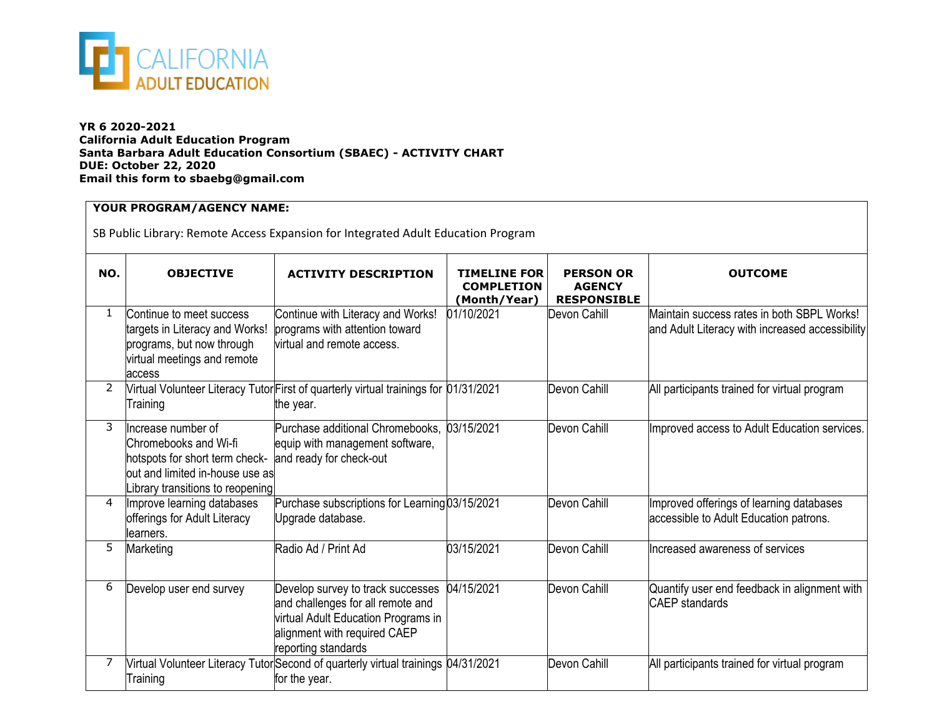

## **YR 6 2020-2021 California Adult Education Program Santa Barbara Adult Education Consortium (SBAEC) - ACTIVITY CHART DUE: October 22, 2020 Email this form to sbaebg@gmail.com**

## **YOUR PROGRAM/AGENCY NAME:**

SB Public Library: Remote Access Expansion for Integrated Adult Education Program

| NO.          | <b>OBJECTIVE</b>                                                                                                                                    | <b>ACTIVITY DESCRIPTION</b>                                                                                                                                          | <b>TIMELINE FOR</b><br><b>COMPLETION</b><br>(Month/Year) | <b>PERSON OR</b><br><b>AGENCY</b><br><b>RESPONSIBLE</b> | <b>OUTCOME</b>                                                                                |  |
|--------------|-----------------------------------------------------------------------------------------------------------------------------------------------------|----------------------------------------------------------------------------------------------------------------------------------------------------------------------|----------------------------------------------------------|---------------------------------------------------------|-----------------------------------------------------------------------------------------------|--|
| $\mathbf{1}$ | Continue to meet success<br>targets in Literacy and Works!<br>programs, but now through<br>virtual meetings and remote<br>access                    | Continue with Literacy and Works!<br>programs with attention toward<br>virtual and remote access.                                                                    | 01/10/2021                                               | Devon Cahill                                            | Maintain success rates in both SBPL Works!<br>and Adult Literacy with increased accessibility |  |
| 2            | Training                                                                                                                                            | Nirtual Volunteer Literacy Tutor First of quarterly virtual trainings for 01/31/2021<br>the year.                                                                    |                                                          | Devon Cahill                                            | All participants trained for virtual program                                                  |  |
| 3            | Increase number of<br>Chromebooks and Wi-fi<br>hotspots for short term check-<br>out and limited in-house use as<br>ibrary transitions to reopening | Purchase additional Chromebooks,<br>equip with management software,<br>and ready for check-out                                                                       | 03/15/2021                                               | Devon Cahill                                            | Improved access to Adult Education services.                                                  |  |
| 4            | Improve learning databases<br>offerings for Adult Literacy<br>llearners.                                                                            | Purchase subscriptions for Learning 03/15/2021<br>Upgrade database.                                                                                                  |                                                          | Devon Cahill                                            | Improved offerings of learning databases<br>accessible to Adult Education patrons.            |  |
| 5            | Marketing                                                                                                                                           | Radio Ad / Print Ad                                                                                                                                                  | 03/15/2021                                               | Devon Cahill                                            | Increased awareness of services                                                               |  |
| 6            | Develop user end survey                                                                                                                             | Develop survey to track successes<br>and challenges for all remote and<br>virtual Adult Education Programs in<br>alignment with required CAEP<br>reporting standards | 04/15/2021                                               | Devon Cahill                                            | Quantify user end feedback in alignment with<br><b>CAEP</b> standards                         |  |
| 7            | Training                                                                                                                                            | Virtual Volunteer Literacy Tutor Second of quarterly virtual trainings 04/31/2021<br>for the year.                                                                   |                                                          | Devon Cahill                                            | All participants trained for virtual program                                                  |  |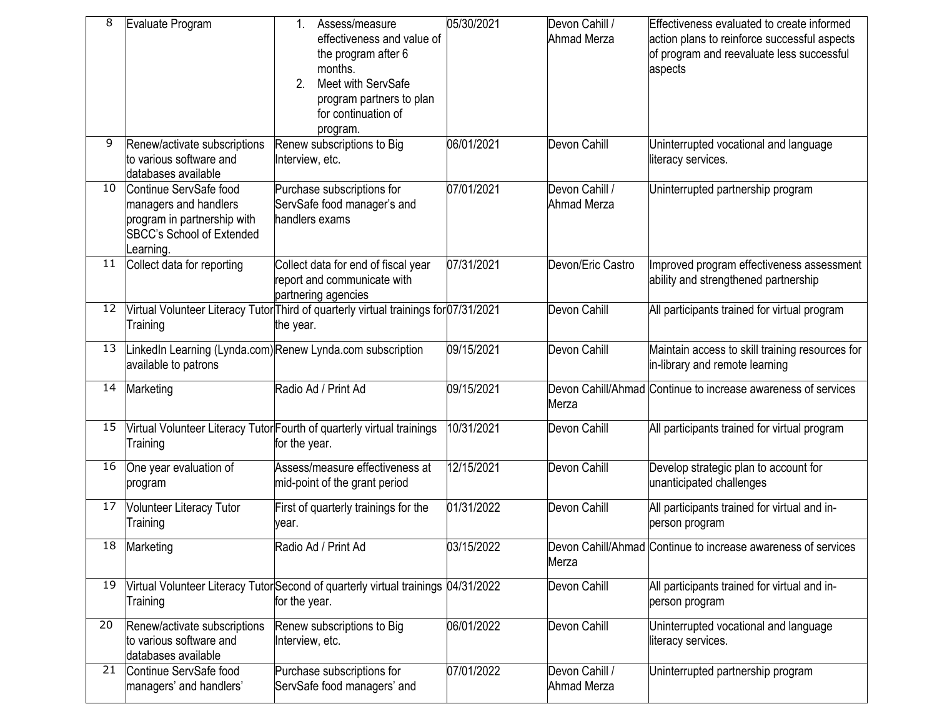| 8  | Evaluate Program                                                                                                               | Assess/measure<br>1.<br>effectiveness and value of<br>the program after 6<br>months.<br>Meet with ServSafe<br>2.<br>program partners to plan<br>for continuation of<br>program. | 05/30/2021 | Devon Cahill /<br><b>Ahmad Merza</b> | Effectiveness evaluated to create informed<br>action plans to reinforce successful aspects<br>of program and reevaluate less successful<br>aspects |
|----|--------------------------------------------------------------------------------------------------------------------------------|---------------------------------------------------------------------------------------------------------------------------------------------------------------------------------|------------|--------------------------------------|----------------------------------------------------------------------------------------------------------------------------------------------------|
| 9  | Renew/activate subscriptions<br>to various software and<br>databases available                                                 | Renew subscriptions to Big<br>Interview, etc.                                                                                                                                   | 06/01/2021 | Devon Cahill                         | Uninterrupted vocational and language<br>literacy services.                                                                                        |
| 10 | Continue ServSafe food<br>managers and handlers<br>program in partnership with<br><b>SBCC's School of Extended</b><br>earning. | Purchase subscriptions for<br>ServSafe food manager's and<br>handlers exams                                                                                                     | 07/01/2021 | Devon Cahill /<br>Ahmad Merza        | Uninterrupted partnership program                                                                                                                  |
| 11 | Collect data for reporting                                                                                                     | Collect data for end of fiscal year<br>report and communicate with<br>partnering agencies                                                                                       | 07/31/2021 | Devon/Eric Castro                    | Improved program effectiveness assessment<br>ability and strengthened partnership                                                                  |
| 12 | Training                                                                                                                       | Virtual Volunteer Literacy Tutor Third of quarterly virtual trainings for 07/31/2021<br>the year.                                                                               |            | Devon Cahill                         | All participants trained for virtual program                                                                                                       |
| 13 | available to patrons                                                                                                           | inkedIn Learning (Lynda.com) Renew Lynda.com subscription                                                                                                                       | 09/15/2021 | Devon Cahill                         | Maintain access to skill training resources for<br>in-library and remote learning                                                                  |
| 14 | Marketing                                                                                                                      | Radio Ad / Print Ad                                                                                                                                                             | 09/15/2021 | Merza                                | Devon Cahill/Ahmad Continue to increase awareness of services                                                                                      |
| 15 | Training                                                                                                                       | Virtual Volunteer Literacy Tutor Fourth of quarterly virtual trainings<br>for the year.                                                                                         | 10/31/2021 | Devon Cahill                         | All participants trained for virtual program                                                                                                       |
| 16 | One year evaluation of<br>program                                                                                              | Assess/measure effectiveness at<br>mid-point of the grant period                                                                                                                | 12/15/2021 | Devon Cahill                         | Develop strategic plan to account for<br>unanticipated challenges                                                                                  |
| 17 | <b>Volunteer Literacy Tutor</b><br>Training                                                                                    | First of quarterly trainings for the<br>vear.                                                                                                                                   | 01/31/2022 | Devon Cahill                         | All participants trained for virtual and in-<br>person program                                                                                     |
|    | 18 Marketing                                                                                                                   | Radio Ad / Print Ad                                                                                                                                                             | 03/15/2022 | Merza                                | Devon Cahill/Ahmad Continue to increase awareness of services                                                                                      |
| 19 | Training                                                                                                                       | Virtual Volunteer Literacy Tutor Second of quarterly virtual trainings 04/31/2022<br>for the year.                                                                              |            | Devon Cahill                         | All participants trained for virtual and in-<br>person program                                                                                     |
| 20 | Renew/activate subscriptions<br>to various software and<br>databases available                                                 | Renew subscriptions to Big<br>Interview, etc.                                                                                                                                   | 06/01/2022 | Devon Cahill                         | Uninterrupted vocational and language<br>literacy services.                                                                                        |
| 21 | Continue ServSafe food<br>managers' and handlers'                                                                              | Purchase subscriptions for<br>ServSafe food managers' and                                                                                                                       | 07/01/2022 | Devon Cahill /<br>Ahmad Merza        | Uninterrupted partnership program                                                                                                                  |